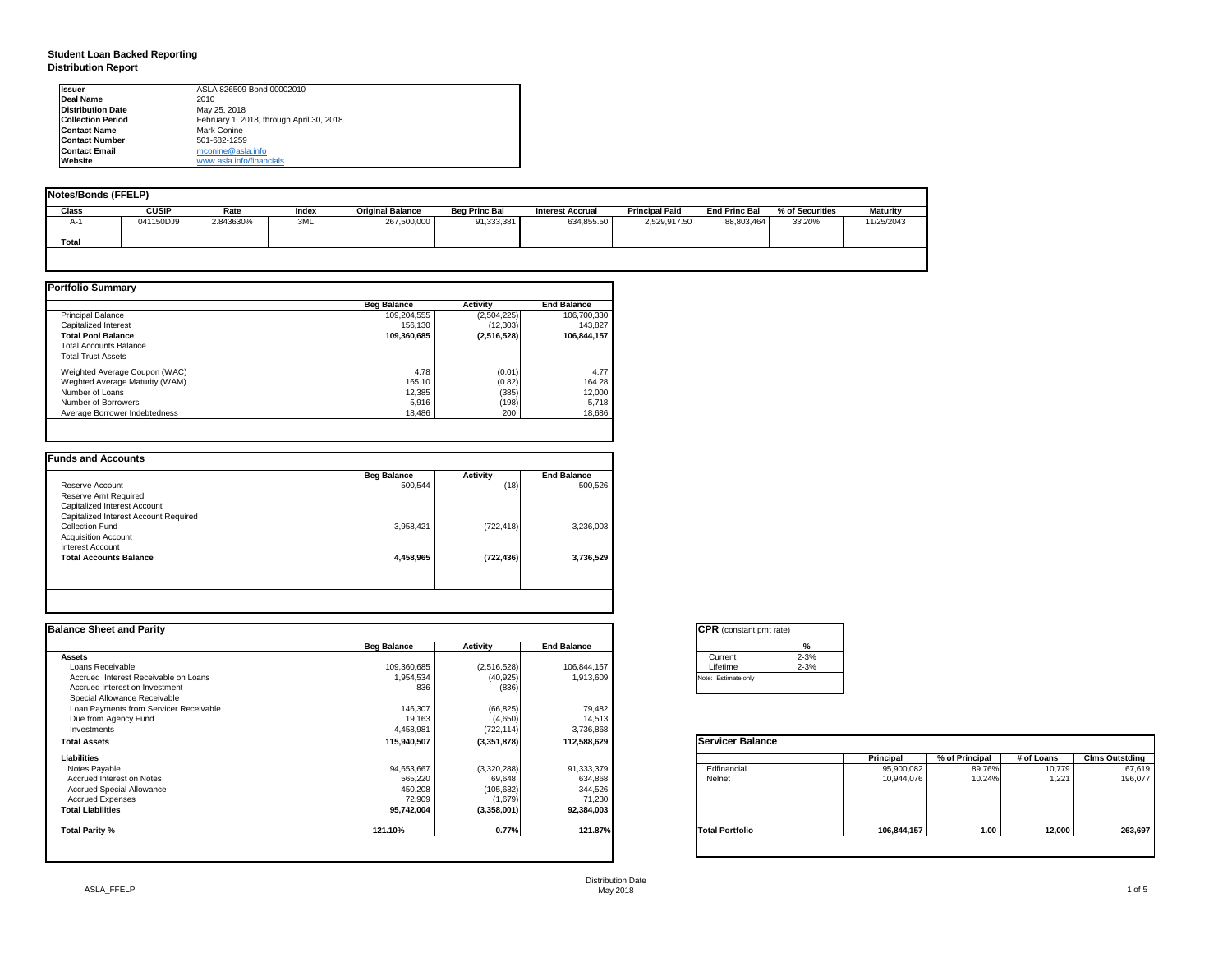## **Student Loan Backed Reporting Distribution Report**

| <b>Notes/Bonds (FFELP)</b> |              |           |              |                         |                      |                         |                       |                      |                 |                 |
|----------------------------|--------------|-----------|--------------|-------------------------|----------------------|-------------------------|-----------------------|----------------------|-----------------|-----------------|
| Class                      | <b>CUSIP</b> | Rate      | <b>Index</b> | <b>Original Balance</b> | <b>Beg Princ Bal</b> | <b>Interest Accrual</b> | <b>Principal Paid</b> | <b>End Princ Bal</b> | % of Securities | <b>Maturity</b> |
| A-1                        | 041150DJ9    | 2.843630% | 3ML          | 267,500,000             | 91,333,381           | 634,855.50              | 2,529,917.50          | 88,803,464           | 33.20%          | 11/25/2043      |
| <b>Total</b>               |              |           |              |                         |                      |                         |                       |                      |                 |                 |
|                            |              |           |              |                         |                      |                         |                       |                      |                 |                 |

|                                | <b>Beg Balance</b> | <b>Activity</b> | <b>End Balance</b> |
|--------------------------------|--------------------|-----------------|--------------------|
| <b>Principal Balance</b>       | 109,204,555        | (2,504,225)     | 106,700,330        |
| Capitalized Interest           | 156,130            | (12, 303)       | 143,827            |
| <b>Total Pool Balance</b>      | 109,360,685        | (2, 516, 528)   | 106,844,157        |
| <b>Total Accounts Balance</b>  |                    |                 |                    |
| <b>Total Trust Assets</b>      |                    |                 |                    |
| Weighted Average Coupon (WAC)  | 4.78               | (0.01)          | 4.77               |
| Weghted Average Maturity (WAM) | 165.10             | (0.82)          | 164.28             |
| Number of Loans                | 12,385             | (385)           | 12,000             |
| Number of Borrowers            | 5,916              | (198)           | 5,718              |
| Average Borrower Indebtedness  | 18,486             | 200             | 18,686             |

| <b>Beg Balance</b> | <b>Activity</b> | <b>End Balance</b> |
|--------------------|-----------------|--------------------|
| 500,544            | (18)            | 500,526            |
|                    |                 |                    |
|                    |                 |                    |
|                    |                 |                    |
| 3,958,421          | (722, 418)      | 3,236,003          |
|                    |                 |                    |
|                    |                 |                    |
| 4,458,965          | (722, 436)      | 3,736,529          |
|                    |                 |                    |
|                    |                 |                    |

| <b>Ilssuer</b>            | ASLA 826509 Bond 00002010                |
|---------------------------|------------------------------------------|
| <b>IDeal Name</b>         | 2010                                     |
| <b>IDistribution Date</b> | May 25, 2018                             |
| <b>ICollection Period</b> | February 1, 2018, through April 30, 2018 |
| <b>IContact Name</b>      | <b>Mark Conine</b>                       |
| <b>IContact Number</b>    | 501-682-1259                             |
| <b>IContact Email</b>     | mconine@asla.info                        |
| <b>I</b> Website          | www.asla.info/financials                 |

|                    |                 |                    | <b>CPR</b> (constant pmt rate) |                                         |                                          |            |                       |
|--------------------|-----------------|--------------------|--------------------------------|-----------------------------------------|------------------------------------------|------------|-----------------------|
| <b>Beg Balance</b> | <b>Activity</b> | <b>End Balance</b> | %                              |                                         |                                          |            |                       |
|                    |                 |                    | Current                        |                                         |                                          |            |                       |
|                    |                 |                    |                                |                                         |                                          |            |                       |
| 1,954,534          | (40, 925)       | 1,913,609          | Note: Estimate only            |                                         |                                          |            |                       |
| 836                | (836)           |                    |                                |                                         |                                          |            |                       |
|                    |                 |                    |                                |                                         |                                          |            |                       |
| 146,307            | (66, 825)       | 79,482             |                                |                                         |                                          |            |                       |
| 19,163             | (4,650)         | 14,513             |                                |                                         |                                          |            |                       |
| 4,458,981          | (722, 114)      | 3,736,868          |                                |                                         |                                          |            |                       |
| 115,940,507        | (3,351,878)     | 112,588,629        | <b>Servicer Balance</b>        |                                         |                                          |            |                       |
|                    |                 |                    |                                |                                         | % of Principal                           | # of Loans | <b>Clms Outstding</b> |
| 94,653,667         | (3,320,288)     | 91,333,379         | Edfinancial                    | 95,900,082                              | 89.76%                                   | 10,779     | 67,619                |
| 565,220            | 69,648          | 634,868            | Nelnet                         | 10,944,076                              | 10.24%                                   | 1,221      | 196,077               |
| 450,208            | (105, 682)      | 344,526            |                                |                                         |                                          |            |                       |
| 72,909             | (1,679)         | 71,230             |                                |                                         |                                          |            |                       |
| 95,742,004         | (3,358,001)     | 92,384,003         |                                |                                         |                                          |            |                       |
|                    |                 |                    | <b>Total Portfolio</b>         | 106,844,157                             | 1.00                                     |            | 263,697               |
|                    | 109,360,685     | (2,516,528)        | 106,844,157                    | Lifetime<br>121.87%<br>0.77%<br>121.10% | $2 - 3%$<br>$2 - 3%$<br><b>Principal</b> |            | 12,000                |

| CPR (con:     |
|---------------|
|               |
| Current       |
| Lifetime      |
| Note: Estimat |
|               |

| tant pmt rate) |          |  |  |  |  |  |  |
|----------------|----------|--|--|--|--|--|--|
|                | %        |  |  |  |  |  |  |
|                | $2 - 3%$ |  |  |  |  |  |  |
|                | $2 - 3%$ |  |  |  |  |  |  |
| only           |          |  |  |  |  |  |  |
|                |          |  |  |  |  |  |  |

| <b>Balance</b> |                  |                |            |                       |
|----------------|------------------|----------------|------------|-----------------------|
|                | <b>Principal</b> | % of Principal | # of Loans | <b>Clms Outstding</b> |
|                | 95,900,082       | 89.76%         | 10,779     | 67,619                |
|                | 10,944,076       | 10.24%         | 1,221      | 196,077               |
|                |                  |                |            |                       |
| lio            | 106,844,157      | 1.00           | 12,000     | 263,697               |
|                |                  |                |            |                       |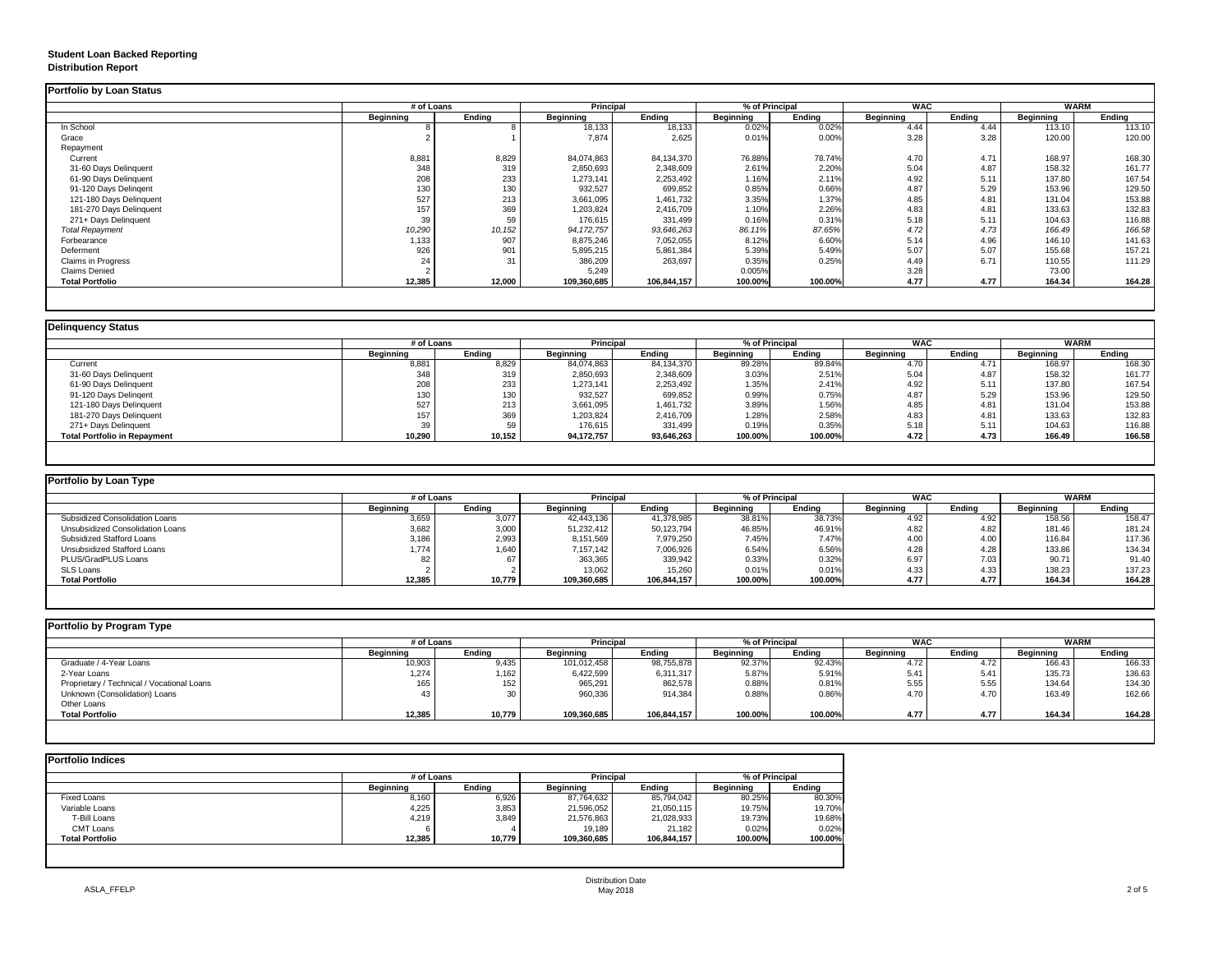# **Student Loan Backed Reporting Distribution Report**

|                         |                  | # of Loans    |                  | <b>Principal</b> |                  | % of Principal |                  | <b>WAC</b>    |                  | <b>WARM</b>   |
|-------------------------|------------------|---------------|------------------|------------------|------------------|----------------|------------------|---------------|------------------|---------------|
|                         | <b>Beginning</b> | <b>Ending</b> | <b>Beginning</b> | <b>Ending</b>    | <b>Beginning</b> | <b>Ending</b>  | <b>Beginning</b> | <b>Ending</b> | <b>Beginning</b> | <b>Ending</b> |
| In School               |                  |               | 18,133           | 18,133           | 0.02%            | 0.02%          | 4.44             | 4.44          | 113.10           | 113.10        |
| Grace                   |                  |               | 7,874            | 2,625            | 0.01%            | 0.00%          | 3.28             | 3.28          | 120.00           | 120.00        |
| Repayment               |                  |               |                  |                  |                  |                |                  |               |                  |               |
| Current                 | 8,881            | 8,829         | 84,074,863       | 84,134,370       | 76.88%           | 78.74%         | 4.70             | 4.71          | 168.97           | 168.30        |
| 31-60 Days Delinquent   | 348              | 319           | 2,850,693        | 2,348,609        | 2.61%            | 2.20%          | 5.04             | 4.87          | 158.32           | 161.77        |
| 61-90 Days Delinquent   | 208              | 233           | 1,273,141        | 2,253,492        | 1.16%            | 2.11%          | 4.92             | 5.11          | 137.80           | 167.54        |
| 91-120 Days Delingent   | 130              | 130           | 932,527          | 699,852          | 0.85%            | 0.66%          | 4.87             | 5.29          | 153.96           | 129.50        |
| 121-180 Days Delinquent | 527              | 213           | 3,661,095        | 1,461,732        | 3.35%            | 1.37%          | 4.85             | 4.81          | 131.04           | 153.88        |
| 181-270 Days Delinquent | 157              | 369           | 1,203,824        | 2,416,709        | 1.10%            | 2.26%          | 4.83             | 4.81          | 133.63           | 132.83        |
| 271+ Days Delinquent    | 39               | 59            | 176,615          | 331,499          | 0.16%            | 0.31%          | 5.18             | 5.11          | 104.63           | 116.88        |
| <b>Total Repayment</b>  | 10,290           | 10, 152       | 94, 172, 757     | 93,646,263       | 86.11%           | 87.65%         | 4.72             | 4.73          | 166.49           | 166.58        |
| Forbearance             | 1,133            | 907           | 8,875,246        | 7,052,055        | 8.12%            | 6.60%          | 5.14             | 4.96          | 146.10           | 141.63        |
| Deferment               | 926              | 901           | 5,895,215        | 5,861,384        | 5.39%            | 5.49%          | 5.07             | 5.07          | 155.68           | 157.21        |
| Claims in Progress      | 24               | 31            | 386,209          | 263,697          | 0.35%            | 0.25%          | 4.49             | 6.71          | 110.55           | 111.29        |
| <b>Claims Denied</b>    |                  |               | 5,249            |                  | 0.005%           |                | 3.28             |               | 73.00            |               |
| <b>Total Portfolio</b>  | 12,385           | 12,000        | 109,360,685      | 106,844,157      | 100.00%          | 100.00%        | 4.77             | 4.77          | 164.34           | 164.28        |

| <b>Delinguency Status</b>           |                  |               |                  |                  |                  |                |                  |               |                  |               |  |
|-------------------------------------|------------------|---------------|------------------|------------------|------------------|----------------|------------------|---------------|------------------|---------------|--|
|                                     |                  | # of Loans    |                  | <b>Principal</b> |                  | % of Principal |                  | <b>WAC</b>    |                  | <b>WARM</b>   |  |
|                                     | <b>Beginning</b> | <b>Ending</b> | <b>Beginning</b> | <b>Ending</b>    | <b>Beginning</b> | <b>Ending</b>  | <b>Beginning</b> | <b>Ending</b> | <b>Beginning</b> | <b>Ending</b> |  |
| Current                             | 8,881            | 8,829         | 84,074,863       | 84,134,370       | 89.28%           | 89.84%         | 4.70             | 4.71          | 168.97           | 168.30        |  |
| 31-60 Days Delinquent               | 348              | 319           | 2,850,693        | 2,348,609        | 3.03%            | 2.51%          | 5.04             | 4.87          | 158.32           | 161.77        |  |
| 61-90 Days Delinquent               | 208              | 233           | 1,273,141        | 2,253,492        | 1.35%            | 2.41%          | 4.92             | 5.11          | 137.80           | 167.54        |  |
| 91-120 Days Delingent               | 130              | 130           | 932,527          | 699,852          | 0.99%            | 0.75%          | 4.87             | 5.29          | 153.96           | 129.50        |  |
| 121-180 Days Delinquent             | 527              | 213           | 3,661,095        | 1,461,732        | 3.89%            | 1.56%          | 4.85             | 4.81          | 131.04           | 153.88        |  |
| 181-270 Days Delinquent             | 157              | 369           | 1,203,824        | 2,416,709        | 1.28%            | 2.58%          | 4.83             | 4.81          | 133.63           | 132.83        |  |
| 271+ Days Delinquent                |                  | 59            | 176,615          | 331,499          | 0.19%            | 0.35%          | 5.18             | 5.11          | 104.63           | 116.88        |  |
| <b>Total Portfolio in Repayment</b> | 10,290           | 10,152        | 94,172,757       | 93,646,263       | 100.00%          | 100.00%        | 4.72             | 4.73          | 166.49           | 166.58        |  |
|                                     |                  |               |                  |                  |                  |                |                  |               |                  |               |  |

| <b>Portfolio by Program Type</b> |  |  |  |
|----------------------------------|--|--|--|
|----------------------------------|--|--|--|

| Portfolio by Loan Type                  |                  |               |                  |               |                  |               |                  |        |                  |        |
|-----------------------------------------|------------------|---------------|------------------|---------------|------------------|---------------|------------------|--------|------------------|--------|
|                                         | # of Loans       |               | <b>Principal</b> |               | % of Principal   |               | <b>WAC</b>       |        | WARM             |        |
|                                         | <b>Beginning</b> | <b>Ending</b> | <b>Beginning</b> | <b>Ending</b> | <b>Beginning</b> | <b>Ending</b> | <b>Beginning</b> | Ending | <b>Beginning</b> | Ending |
| <b>Subsidized Consolidation Loans</b>   | 3,659            | 3,077         | 42,443,136       | 41,378,985    | 38.81%           | 38.73%        | 4.92             | 4.92   | 158.56           | 158.47 |
| <b>Unsubsidized Consolidation Loans</b> | 3,682            | 3,000         | 51,232,412       | 50,123,794    | 46.85%           | 46.91%        | 4.82             | 4.82   | 181.46           | 181.24 |
| <b>Subsidized Stafford Loans</b>        | 3,186            | 2,993         | 8,151,569        | 7,979,250     | 7.45%            | 7.47%         | 4.00             | 4.00   | 116.84           | 117.36 |
| <b>Unsubsidized Stafford Loans</b>      | ,774             | 1,640         | 7,157,142        | 7,006,926     | 6.54%            | 6.56%         | 4.28             | 4.28   | 133.86           | 134.34 |
| <b>PLUS/GradPLUS Loans</b>              | 82               |               | 363,365          | 339,942       | 0.33%            | 0.32%         | 6.97             | 7.03   | 90.71            | 91.40  |
| <b>SLS Loans</b>                        |                  |               | 13,062           | 15,260        | 0.01%            | 0.01%         | 4.33             | 4.33   | 138.23           | 137.23 |
| <b>Total Portfolio</b>                  | 12,385           | 10,779        | 109,360,685      | 106,844,157   | 100.00%          | 100.00%       | 4.77             | 4.77   | 164.34           | 164.28 |

| <b>Portfolio by Program Type</b>           |                  | # of Loans    |                  | <b>Principal</b> |                  | % of Principal |                  | <b>WAC</b> |                  | WARM          |  |
|--------------------------------------------|------------------|---------------|------------------|------------------|------------------|----------------|------------------|------------|------------------|---------------|--|
|                                            | <b>Beginning</b> | <b>Ending</b> | <b>Beginning</b> | <b>Ending</b>    | <b>Beginning</b> | Ending         | <b>Beginning</b> | Ending     | <b>Beginning</b> | <b>Ending</b> |  |
| Graduate / 4-Year Loans                    | 10,903           | 9,435         | 101,012,458      | 98,755,878       | 92.37%           | 92.43%         | 4.72             | 4.72       | 166.43           | 166.33        |  |
| 2-Year Loans                               | 1,274            | ,162          | 6,422,599        | 6,311,317        | 5.87%            | 5.91%          | 5.41             | 5.41       | 135.73           | 136.63        |  |
| Proprietary / Technical / Vocational Loans | 165              | 152           | 965,291          | 862,578          | 0.88%            | 0.81%          | 5.55             | 5.55       | 134.64           | 134.30        |  |
| Unknown (Consolidation) Loans              | 43               | 30            | 960,336          | 914,384          | 0.88%            | 0.86%          | 4.70             | 4.70       | 163.49           | 162.66        |  |
| <b>Other Loans</b>                         |                  |               |                  |                  |                  |                |                  |            |                  |               |  |
| <b>Total Portfolio</b>                     | 12,385           | 10,779        | 109,360,685      | 106,844,157      | 100.00%          | 100.00%        | 4.77             | 4.77       | 164.34           | 164.28        |  |
|                                            |                  |               |                  |                  |                  |                |                  |            |                  |               |  |

| <b>Portfolio Indices</b> |                  |               |                  |               |                  |               |
|--------------------------|------------------|---------------|------------------|---------------|------------------|---------------|
|                          | # of Loans       |               | <b>Principal</b> |               | % of Principal   |               |
|                          | <b>Beginning</b> | <b>Ending</b> | <b>Beginning</b> | <b>Ending</b> | <b>Beginning</b> | <b>Ending</b> |
| <b>Fixed Loans</b>       | 8,160            | 6,926         | 87,764,632       | 85,794,042    | 80.25%           | 80.30%        |
| Variable Loans           | 4,225            | 3,853         | 21,596,052       | 21,050,115    | 19.75%           | 19.70%        |
| T-Bill Loans             | 4,219            | 3,849         | 21,576,863       | 21,028,933    | 19.73%           | 19.68%        |
| <b>CMT Loans</b>         | -6               |               | 19,189           | 21,182        | 0.02%            | 0.02%         |
| <b>Total Portfolio</b>   | 12,385           | 10,779        | 109,360,685      | 106,844,157   | 100.00%          | 100.00%       |
|                          |                  |               |                  |               |                  |               |
|                          |                  |               |                  |               |                  |               |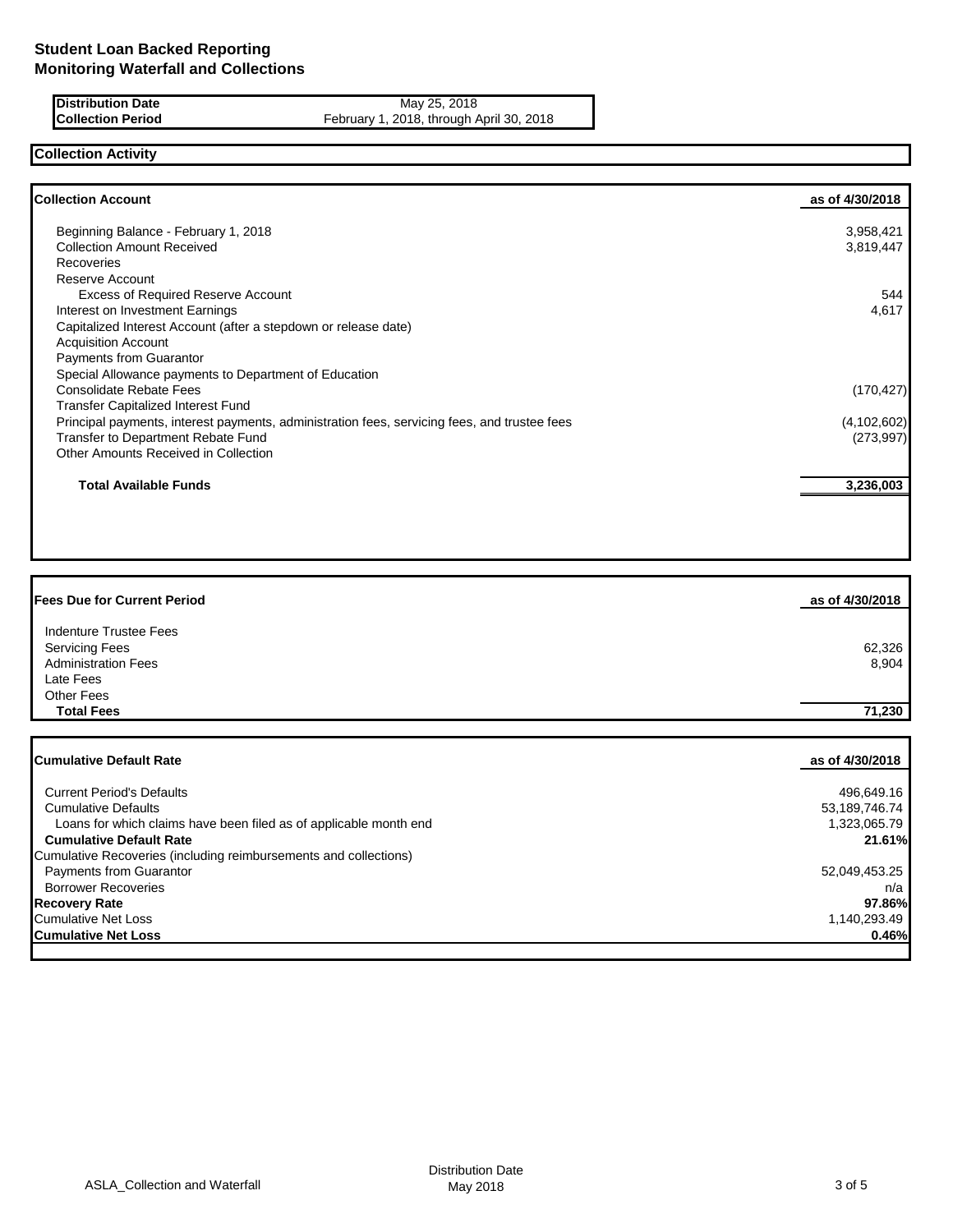**Distribution Date** May 25, 2018 **Collection Period** February 1, 2018, through April 30, 2018

## **Collection Activity**

| as of 4/30/2018 |
|-----------------|
| 3,958,421       |
| 3,819,447       |
|                 |
|                 |
| 544             |
| 4,617           |
|                 |
|                 |
|                 |
|                 |
| (170, 427)      |
|                 |
| (4, 102, 602)   |
| (273, 997)      |
|                 |
| 3,236,003       |
|                 |

| <b>Fees Due for Current Period</b> | as of 4/30/2018 |
|------------------------------------|-----------------|
| <b>Indenture Trustee Fees</b>      |                 |
| <b>Servicing Fees</b>              | 62,326          |
| <b>Administration Fees</b>         | 8,904           |
| Late Fees                          |                 |
| Other Fees                         |                 |
| <b>Total Fees</b>                  | 71,230          |
|                                    |                 |
|                                    |                 |

| <b>Cumulative Default Rate</b>                                    | as of 4/30/2018 |
|-------------------------------------------------------------------|-----------------|
|                                                                   |                 |
| <b>Current Period's Defaults</b>                                  | 496,649.16      |
| <b>Cumulative Defaults</b>                                        | 53,189,746.74   |
| Loans for which claims have been filed as of applicable month end | 1.323.065.79    |
| <b>Cumulative Default Rate</b>                                    | 21.61%          |
| Cumulative Recoveries (including reimbursements and collections)  |                 |
| <b>Payments from Guarantor</b>                                    | 52,049,453.25   |
| <b>Borrower Recoveries</b>                                        | n/a             |
| <b>Recovery Rate</b>                                              | 97.86%          |
| <b>Cumulative Net Loss</b>                                        | 1.140.293.49    |
| <b>Cumulative Net Loss</b>                                        | 0.46%           |
|                                                                   |                 |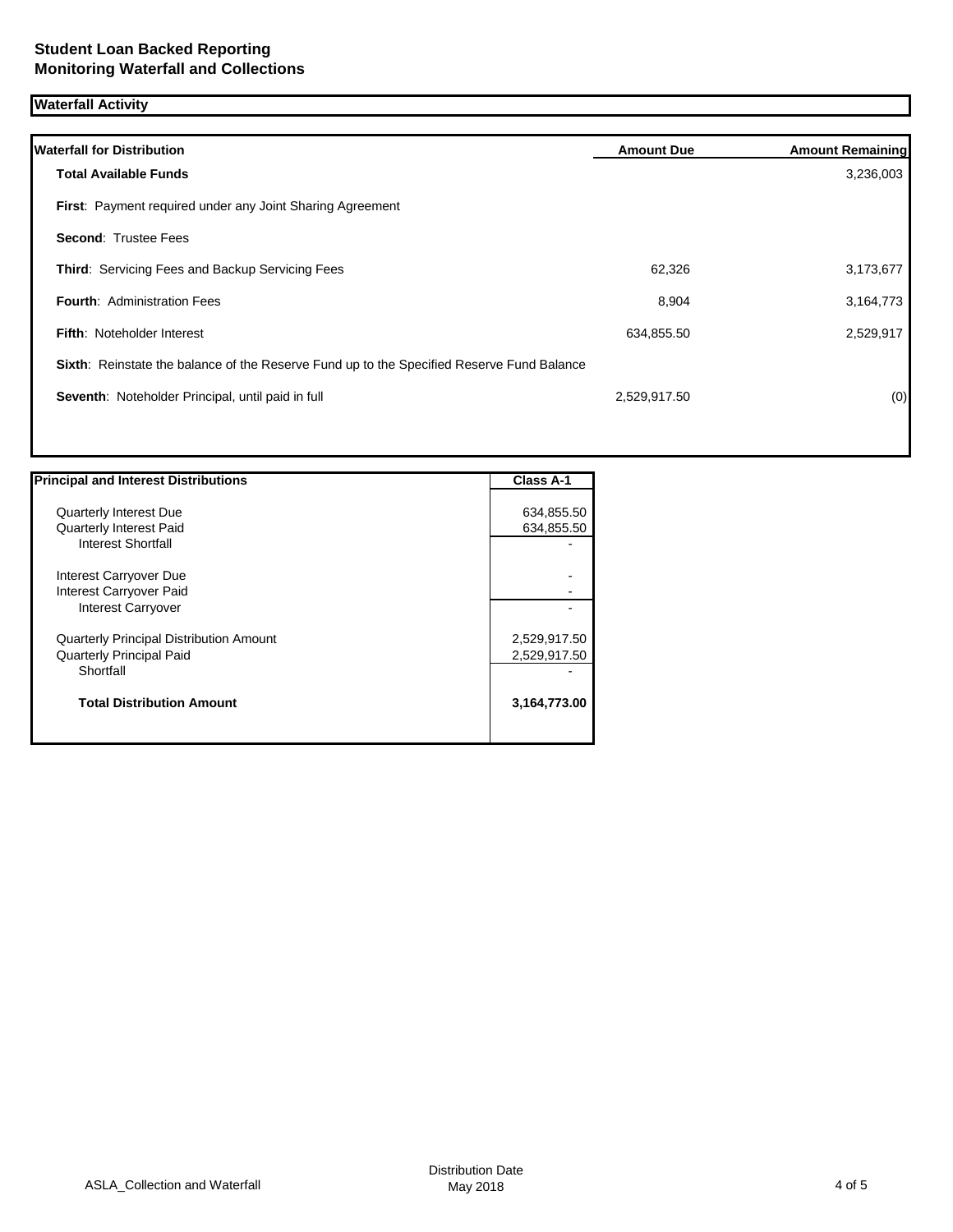## **Waterfall Activity**

| <b>Amount Due</b> | <b>Amount Remaining</b>                                                                   |
|-------------------|-------------------------------------------------------------------------------------------|
|                   | 3,236,003                                                                                 |
|                   |                                                                                           |
|                   |                                                                                           |
| 62,326            | 3,173,677                                                                                 |
| 8,904             | 3,164,773                                                                                 |
| 634,855.50        | 2,529,917                                                                                 |
|                   |                                                                                           |
| 2,529,917.50      | (0)                                                                                       |
|                   |                                                                                           |
|                   | Sixth: Reinstate the balance of the Reserve Fund up to the Specified Reserve Fund Balance |

| <b>Principal and Interest Distributions</b>    | <b>Class A-1</b> |
|------------------------------------------------|------------------|
|                                                |                  |
| <b>Quarterly Interest Due</b>                  | 634,855.50       |
| <b>Quarterly Interest Paid</b>                 | 634,855.50       |
| Interest Shortfall                             |                  |
| Interest Carryover Due                         |                  |
| Interest Carryover Paid                        |                  |
| Interest Carryover                             |                  |
| <b>Quarterly Principal Distribution Amount</b> | 2,529,917.50     |
| <b>Quarterly Principal Paid</b>                | 2,529,917.50     |
| Shortfall                                      |                  |
| <b>Total Distribution Amount</b>               | 3,164,773.00     |
|                                                |                  |